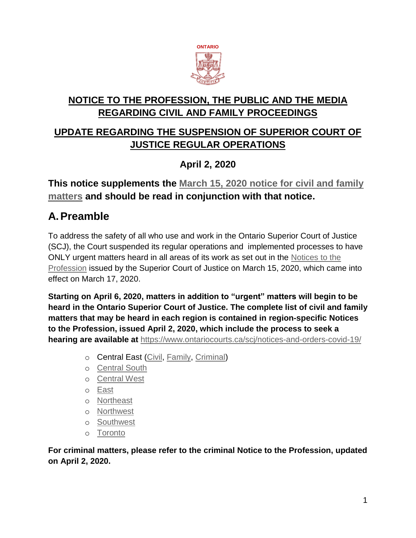

# **NOTICE TO THE PROFESSION, THE PUBLIC AND THE MEDIA REGARDING CIVIL AND FAMILY PROCEEDINGS**

# **UPDATE REGARDING THE SUSPENSION OF SUPERIOR COURT OF JUSTICE REGULAR OPERATIONS**

## **April 2, 2020**

## **This notice supplements the [March 15, 2020 notice for civil and family](https://www.ontariocourts.ca/scj/covid-19-suspension-fam/)  [matters](https://www.ontariocourts.ca/scj/covid-19-suspension-fam/) and should be read in conjunction with that notice.**

# **A.Preamble**

To address the safety of all who use and work in the Ontario Superior Court of Justice (SCJ), the Court suspended its regular operations and implemented processes to have ONLY urgent matters heard in all areas of its work as set out in the [Notices to the](https://www.ontariocourts.ca/scj/notices-and-orders-covid-19/)  [Profession](https://www.ontariocourts.ca/scj/notices-and-orders-covid-19/) issued by the Superior Court of Justice on March 15, 2020, which came into effect on March 17, 2020.

**Starting on April 6, 2020, matters in addition to "urgent" matters will begin to be heard in the Ontario Superior Court of Justice. The complete list of civil and family matters that may be heard in each region is contained in region-specific Notices to the Profession, issued April 2, 2020, which include the process to seek a hearing are available at** <https://www.ontariocourts.ca/scj/notices-and-orders-covid-19/>

- o Central East [\(Civil,](https://www.ontariocourts.ca/scj/notice-profession-civil-ce/) [Family,](https://www.ontariocourts.ca/scj/notice-to-the-profession-fam-ce/) [Criminal\)](https://www.ontariocourts.ca/scj/notice-to-the-profession-crim-ce/)
- o [Central South](https://www.ontariocourts.ca/scj/notice-to-the-profession-cs/)
- o [Central West](https://www.ontariocourts.ca/scj/notice-to-the-profession-cw/)
- o [East](https://www.ontariocourts.ca/scj/notice-to-the-profession-e/)
- o [Northeast](https://www.ontariocourts.ca/scj/notice-to-the-profession-ne/)
- o [Northwest](https://www.ontariocourts.ca/scj/notice-to-the-profession-nw/)
- o [Southwest](https://www.ontariocourts.ca/scj/notice-to-the-profession-sw/)
- o [Toronto](https://www.ontariocourts.ca/scj/notice-to-profession-to/)

**For criminal matters, please refer to the criminal Notice to the Profession, updated on April 2, 2020.**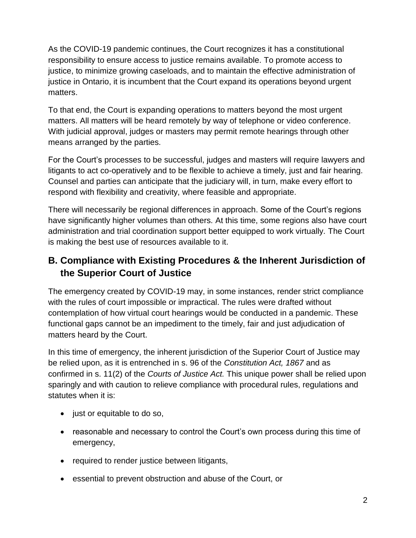As the COVID-19 pandemic continues, the Court recognizes it has a constitutional responsibility to ensure access to justice remains available. To promote access to justice, to minimize growing caseloads, and to maintain the effective administration of justice in Ontario, it is incumbent that the Court expand its operations beyond urgent matters.

To that end, the Court is expanding operations to matters beyond the most urgent matters. All matters will be heard remotely by way of telephone or video conference. With judicial approval, judges or masters may permit remote hearings through other means arranged by the parties.

For the Court's processes to be successful, judges and masters will require lawyers and litigants to act co-operatively and to be flexible to achieve a timely, just and fair hearing. Counsel and parties can anticipate that the judiciary will, in turn, make every effort to respond with flexibility and creativity, where feasible and appropriate.

There will necessarily be regional differences in approach. Some of the Court's regions have significantly higher volumes than others. At this time, some regions also have court administration and trial coordination support better equipped to work virtually. The Court is making the best use of resources available to it.

## **B. Compliance with Existing Procedures & the Inherent Jurisdiction of the Superior Court of Justice**

The emergency created by COVID-19 may, in some instances, render strict compliance with the rules of court impossible or impractical. The rules were drafted without contemplation of how virtual court hearings would be conducted in a pandemic. These functional gaps cannot be an impediment to the timely, fair and just adjudication of matters heard by the Court.

In this time of emergency, the inherent jurisdiction of the Superior Court of Justice may be relied upon, as it is entrenched in s. 96 of the *Constitution Act, 1867* and as confirmed in s. 11(2) of the *Courts of Justice Act.* This unique power shall be relied upon sparingly and with caution to relieve compliance with procedural rules, regulations and statutes when it is:

- just or equitable to do so,
- reasonable and necessary to control the Court's own process during this time of emergency,
- required to render justice between litigants,
- essential to prevent obstruction and abuse of the Court, or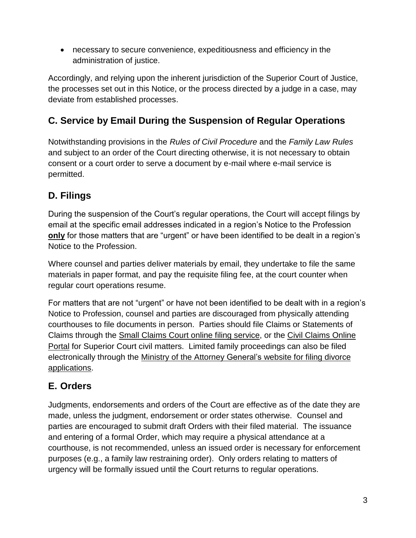• necessary to secure convenience, expeditiousness and efficiency in the administration of justice.

Accordingly, and relying upon the inherent jurisdiction of the Superior Court of Justice, the processes set out in this Notice, or the process directed by a judge in a case, may deviate from established processes.

## **C. Service by Email During the Suspension of Regular Operations**

Notwithstanding provisions in the *Rules of Civil Procedure* and the *Family Law Rules* and subject to an order of the Court directing otherwise, it is not necessary to obtain consent or a court order to serve a document by e-mail where e-mail service is permitted.

## **D. Filings**

During the suspension of the Court's regular operations, the Court will accept filings by email at the specific email addresses indicated in a region's Notice to the Profession **only** for those matters that are "urgent" or have been identified to be dealt in a region's Notice to the Profession.

Where counsel and parties deliver materials by email, they undertake to file the same materials in paper format, and pay the requisite filing fee, at the court counter when regular court operations resume.

For matters that are not "urgent" or have not been identified to be dealt with in a region's Notice to Profession, counsel and parties are discouraged from physically attending courthouses to file documents in person. Parties should file Claims or Statements of Claims through the Small Claims Court online filing [service,](https://www.ontario.ca/page/file-small-claims-online) or the Civil [Claims](https://www.ontario.ca/page/file-civil-claim-online) Online [Portal](https://www.ontario.ca/page/file-civil-claim-online) for Superior Court civil matters. Limited family proceedings can also be filed electronically through the Ministry of the Attorney [General's](https://www.ontario.ca/page/file-divorce-application-online) website for filing divorce [applications.](https://www.ontario.ca/page/file-divorce-application-online)

## **E. Orders**

Judgments, endorsements and orders of the Court are effective as of the date they are made, unless the judgment, endorsement or order states otherwise. Counsel and parties are encouraged to submit draft Orders with their filed material. The issuance and entering of a formal Order, which may require a physical attendance at a courthouse, is not recommended, unless an issued order is necessary for enforcement purposes (e.g., a family law restraining order). Only orders relating to matters of urgency will be formally issued until the Court returns to regular operations.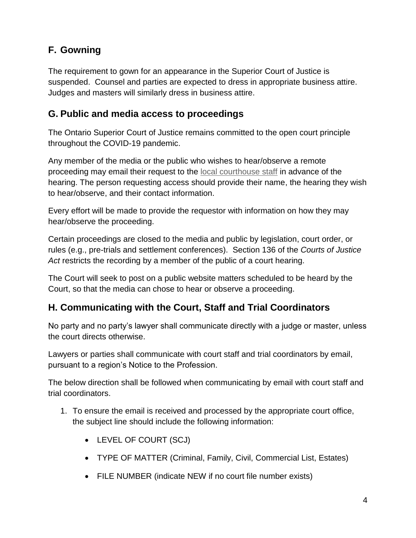# **F. Gowning**

The requirement to gown for an appearance in the Superior Court of Justice is suspended. Counsel and parties are expected to dress in appropriate business attire. Judges and masters will similarly dress in business attire.

#### **G. Public and media access to proceedings**

The Ontario Superior Court of Justice remains committed to the open court principle throughout the COVID-19 pandemic.

Any member of the media or the public who wishes to hear/observe a remote proceeding may email their request to the [local courthouse staff](https://www.ontariocourts.ca/scj/files/CSD-emails-SCJ-courthouse-location.pdf) in advance of the hearing. The person requesting access should provide their name, the hearing they wish to hear/observe, and their contact information.

Every effort will be made to provide the requestor with information on how they may hear/observe the proceeding.

Certain proceedings are closed to the media and public by legislation, court order, or rules (e.g., pre-trials and settlement conferences). Section 136 of the *Courts of Justice Act* restricts the recording by a member of the public of a court hearing.

The Court will seek to post on a public website matters scheduled to be heard by the Court, so that the media can chose to hear or observe a proceeding.

## **H. Communicating with the Court, Staff and Trial Coordinators**

No party and no party's lawyer shall communicate directly with a judge or master, unless the court directs otherwise.

Lawyers or parties shall communicate with court staff and trial coordinators by email, pursuant to a region's Notice to the Profession.

The below direction shall be followed when communicating by email with court staff and trial coordinators.

- 1. To ensure the email is received and processed by the appropriate court office, the subject line should include the following information:
	- LEVEL OF COURT (SCJ)
	- TYPE OF MATTER (Criminal, Family, Civil, Commercial List, Estates)
	- FILE NUMBER (indicate NEW if no court file number exists)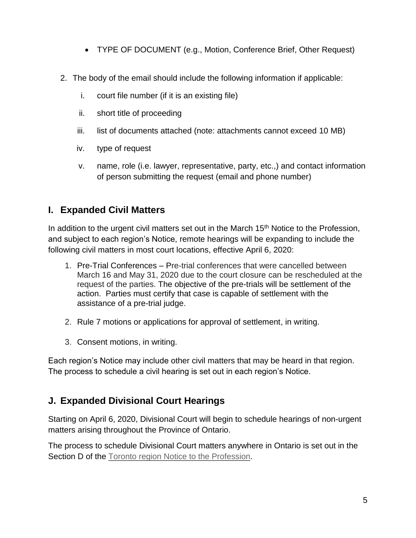- TYPE OF DOCUMENT (e.g., Motion, Conference Brief, Other Request)
- 2. The body of the email should include the following information if applicable:
	- i. court file number (if it is an existing file)
	- ii. short title of proceeding
	- iii. list of documents attached (note: attachments cannot exceed 10 MB)
	- iv. type of request
	- v. name, role (i.e. lawyer, representative, party, etc.,) and contact information of person submitting the request (email and phone number)

#### **I. Expanded Civil Matters**

In addition to the urgent civil matters set out in the March 15<sup>th</sup> Notice to the Profession, and subject to each region's Notice, remote hearings will be expanding to include the following civil matters in most court locations, effective April 6, 2020:

- 1. Pre-Trial Conferences Pre-trial conferences that were cancelled between March 16 and May 31, 2020 due to the court closure can be rescheduled at the request of the parties. The objective of the pre-trials will be settlement of the action. Parties must certify that case is capable of settlement with the assistance of a pre-trial judge.
- 2. Rule 7 motions or applications for approval of settlement, in writing.
- 3. Consent motions, in writing.

Each region's Notice may include other civil matters that may be heard in that region. The process to schedule a civil hearing is set out in each region's Notice.

#### **J. Expanded Divisional Court Hearings**

Starting on April 6, 2020, Divisional Court will begin to schedule hearings of non-urgent matters arising throughout the Province of Ontario.

The process to schedule Divisional Court matters anywhere in Ontario is set out in the Section D of the [Toronto region Notice to the Profession.](https://www.ontariocourts.ca/scj/notice-to-profession-to/)